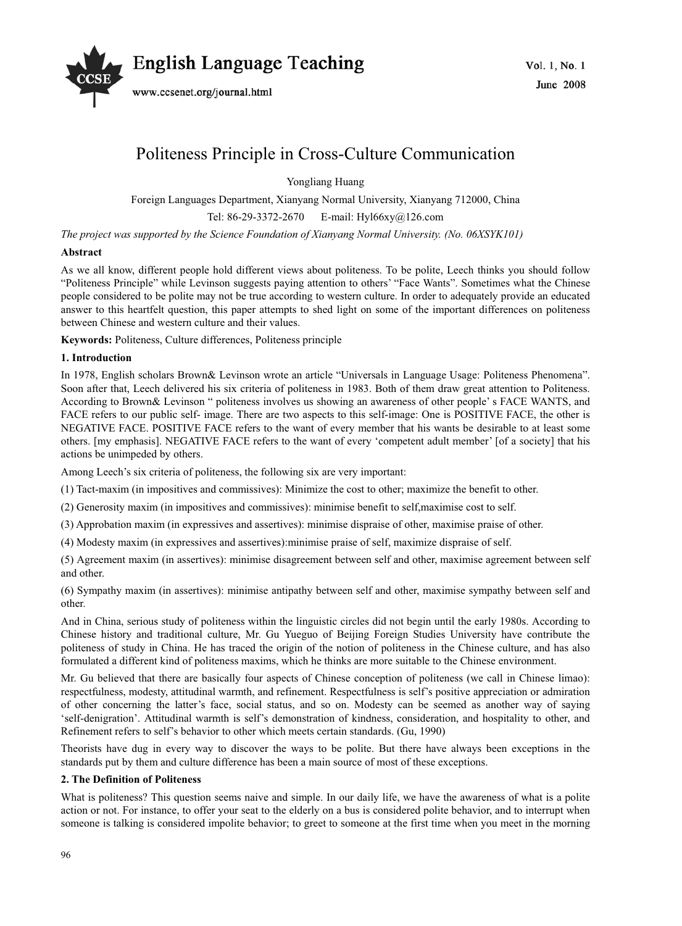

# Politeness Principle in Cross-Culture Communication

Yongliang Huang

Foreign Languages Department, Xianyang Normal University, Xianyang 712000, China

Tel: 86-29-3372-2670 E-mail: Hyl66xy@126.com

*The project was supported by the Science Foundation of Xianyang Normal University. (No. 06XSYK101)* 

## **Abstract**

As we all know, different people hold different views about politeness. To be polite, Leech thinks you should follow "Politeness Principle" while Levinson suggests paying attention to others' "Face Wants". Sometimes what the Chinese people considered to be polite may not be true according to western culture. In order to adequately provide an educated answer to this heartfelt question, this paper attempts to shed light on some of the important differences on politeness between Chinese and western culture and their values.

**Keywords:** Politeness, Culture differences, Politeness principle

## **1. Introduction**

In 1978, English scholars Brown& Levinson wrote an article "Universals in Language Usage: Politeness Phenomena". Soon after that, Leech delivered his six criteria of politeness in 1983. Both of them draw great attention to Politeness. According to Brown& Levinson " politeness involves us showing an awareness of other people' s FACE WANTS, and FACE refers to our public self- image. There are two aspects to this self-image: One is POSITIVE FACE, the other is NEGATIVE FACE. POSITIVE FACE refers to the want of every member that his wants be desirable to at least some others. [my emphasis]. NEGATIVE FACE refers to the want of every 'competent adult member' [of a society] that his actions be unimpeded by others.

Among Leech's six criteria of politeness, the following six are very important:

(1) Tact-maxim (in impositives and commissives): Minimize the cost to other; maximize the benefit to other.

(2) Generosity maxim (in impositives and commissives): minimise benefit to self,maximise cost to self.

(3) Approbation maxim (in expressives and assertives): minimise dispraise of other, maximise praise of other.

(4) Modesty maxim (in expressives and assertives):minimise praise of self, maximize dispraise of self.

(5) Agreement maxim (in assertives): minimise disagreement between self and other, maximise agreement between self and other.

(6) Sympathy maxim (in assertives): minimise antipathy between self and other, maximise sympathy between self and other.

And in China, serious study of politeness within the linguistic circles did not begin until the early 1980s. According to Chinese history and traditional culture, Mr. Gu Yueguo of Beijing Foreign Studies University have contribute the politeness of study in China. He has traced the origin of the notion of politeness in the Chinese culture, and has also formulated a different kind of politeness maxims, which he thinks are more suitable to the Chinese environment.

Mr. Gu believed that there are basically four aspects of Chinese conception of politeness (we call in Chinese limao): respectfulness, modesty, attitudinal warmth, and refinement. Respectfulness is self's positive appreciation or admiration of other concerning the latter's face, social status, and so on. Modesty can be seemed as another way of saying 'self-denigration'. Attitudinal warmth is self's demonstration of kindness, consideration, and hospitality to other, and Refinement refers to self's behavior to other which meets certain standards. (Gu, 1990)

Theorists have dug in every way to discover the ways to be polite. But there have always been exceptions in the standards put by them and culture difference has been a main source of most of these exceptions.

## **2. The Definition of Politeness**

What is politeness? This question seems naive and simple. In our daily life, we have the awareness of what is a polite action or not. For instance, to offer your seat to the elderly on a bus is considered polite behavior, and to interrupt when someone is talking is considered impolite behavior; to greet to someone at the first time when you meet in the morning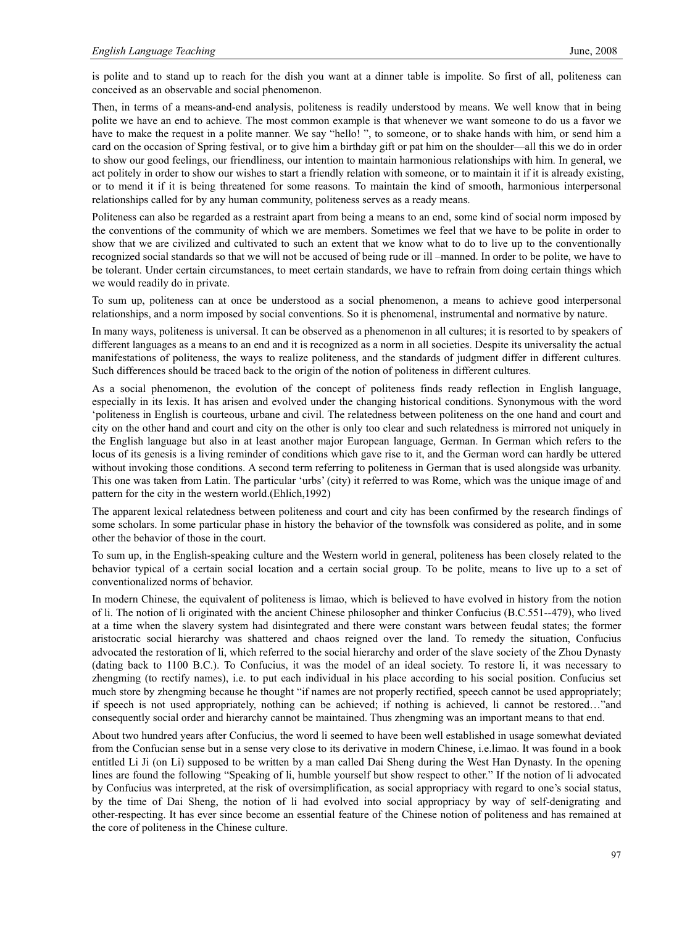is polite and to stand up to reach for the dish you want at a dinner table is impolite. So first of all, politeness can conceived as an observable and social phenomenon.

Then, in terms of a means-and-end analysis, politeness is readily understood by means. We well know that in being polite we have an end to achieve. The most common example is that whenever we want someone to do us a favor we have to make the request in a polite manner. We say "hello!", to someone, or to shake hands with him, or send him a card on the occasion of Spring festival, or to give him a birthday gift or pat him on the shoulder—all this we do in order to show our good feelings, our friendliness, our intention to maintain harmonious relationships with him. In general, we act politely in order to show our wishes to start a friendly relation with someone, or to maintain it if it is already existing, or to mend it if it is being threatened for some reasons. To maintain the kind of smooth, harmonious interpersonal relationships called for by any human community, politeness serves as a ready means.

Politeness can also be regarded as a restraint apart from being a means to an end, some kind of social norm imposed by the conventions of the community of which we are members. Sometimes we feel that we have to be polite in order to show that we are civilized and cultivated to such an extent that we know what to do to live up to the conventionally recognized social standards so that we will not be accused of being rude or ill –manned. In order to be polite, we have to be tolerant. Under certain circumstances, to meet certain standards, we have to refrain from doing certain things which we would readily do in private.

To sum up, politeness can at once be understood as a social phenomenon, a means to achieve good interpersonal relationships, and a norm imposed by social conventions. So it is phenomenal, instrumental and normative by nature.

In many ways, politeness is universal. It can be observed as a phenomenon in all cultures; it is resorted to by speakers of different languages as a means to an end and it is recognized as a norm in all societies. Despite its universality the actual manifestations of politeness, the ways to realize politeness, and the standards of judgment differ in different cultures. Such differences should be traced back to the origin of the notion of politeness in different cultures.

As a social phenomenon, the evolution of the concept of politeness finds ready reflection in English language, especially in its lexis. It has arisen and evolved under the changing historical conditions. Synonymous with the word 'politeness in English is courteous, urbane and civil. The relatedness between politeness on the one hand and court and city on the other hand and court and city on the other is only too clear and such relatedness is mirrored not uniquely in the English language but also in at least another major European language, German. In German which refers to the locus of its genesis is a living reminder of conditions which gave rise to it, and the German word can hardly be uttered without invoking those conditions. A second term referring to politeness in German that is used alongside was urbanity. This one was taken from Latin. The particular 'urbs' (city) it referred to was Rome, which was the unique image of and pattern for the city in the western world.(Ehlich,1992)

The apparent lexical relatedness between politeness and court and city has been confirmed by the research findings of some scholars. In some particular phase in history the behavior of the townsfolk was considered as polite, and in some other the behavior of those in the court.

To sum up, in the English-speaking culture and the Western world in general, politeness has been closely related to the behavior typical of a certain social location and a certain social group. To be polite, means to live up to a set of conventionalized norms of behavior.

In modern Chinese, the equivalent of politeness is limao, which is believed to have evolved in history from the notion of li. The notion of li originated with the ancient Chinese philosopher and thinker Confucius (B.C.551--479), who lived at a time when the slavery system had disintegrated and there were constant wars between feudal states; the former aristocratic social hierarchy was shattered and chaos reigned over the land. To remedy the situation, Confucius advocated the restoration of li, which referred to the social hierarchy and order of the slave society of the Zhou Dynasty (dating back to 1100 B.C.). To Confucius, it was the model of an ideal society. To restore li, it was necessary to zhengming (to rectify names), i.e. to put each individual in his place according to his social position. Confucius set much store by zhengming because he thought "if names are not properly rectified, speech cannot be used appropriately; if speech is not used appropriately, nothing can be achieved; if nothing is achieved, li cannot be restored…"and consequently social order and hierarchy cannot be maintained. Thus zhengming was an important means to that end.

About two hundred years after Confucius, the word li seemed to have been well established in usage somewhat deviated from the Confucian sense but in a sense very close to its derivative in modern Chinese, i.e.limao. It was found in a book entitled Li Ji (on Li) supposed to be written by a man called Dai Sheng during the West Han Dynasty. In the opening lines are found the following "Speaking of li, humble yourself but show respect to other." If the notion of li advocated by Confucius was interpreted, at the risk of oversimplification, as social appropriacy with regard to one's social status, by the time of Dai Sheng, the notion of li had evolved into social appropriacy by way of self-denigrating and other-respecting. It has ever since become an essential feature of the Chinese notion of politeness and has remained at the core of politeness in the Chinese culture.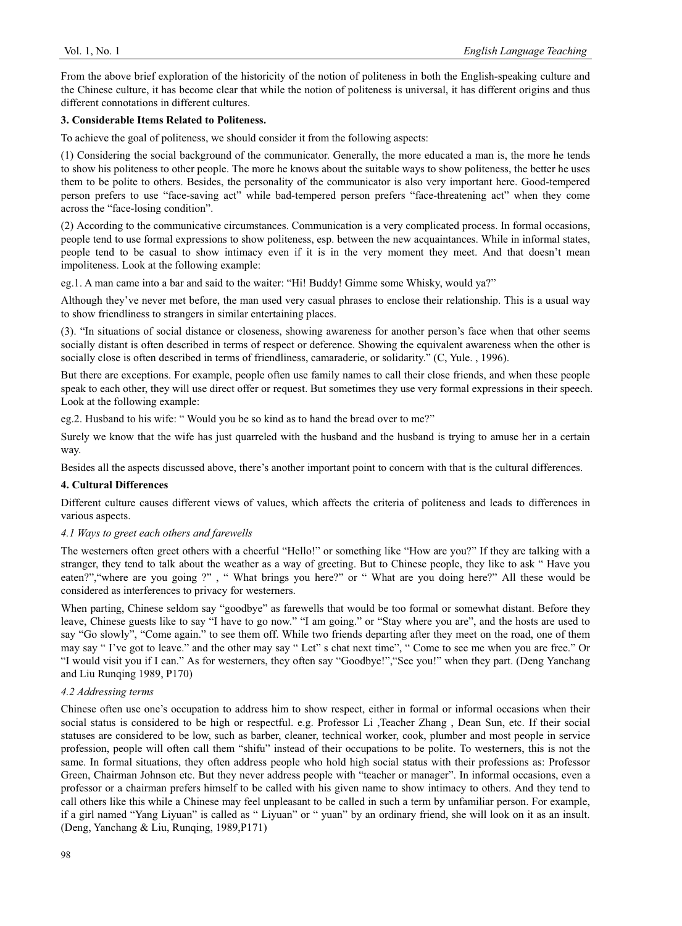From the above brief exploration of the historicity of the notion of politeness in both the English-speaking culture and the Chinese culture, it has become clear that while the notion of politeness is universal, it has different origins and thus different connotations in different cultures.

## **3. Considerable Items Related to Politeness.**

To achieve the goal of politeness, we should consider it from the following aspects:

(1) Considering the social background of the communicator. Generally, the more educated a man is, the more he tends to show his politeness to other people. The more he knows about the suitable ways to show politeness, the better he uses them to be polite to others. Besides, the personality of the communicator is also very important here. Good-tempered person prefers to use "face-saving act" while bad-tempered person prefers "face-threatening act" when they come across the "face-losing condition".

(2) According to the communicative circumstances. Communication is a very complicated process. In formal occasions, people tend to use formal expressions to show politeness, esp. between the new acquaintances. While in informal states, people tend to be casual to show intimacy even if it is in the very moment they meet. And that doesn't mean impoliteness. Look at the following example:

eg.1. A man came into a bar and said to the waiter: "Hi! Buddy! Gimme some Whisky, would ya?"

Although they've never met before, the man used very casual phrases to enclose their relationship. This is a usual way to show friendliness to strangers in similar entertaining places.

(3). "In situations of social distance or closeness, showing awareness for another person's face when that other seems socially distant is often described in terms of respect or deference. Showing the equivalent awareness when the other is socially close is often described in terms of friendliness, camaraderie, or solidarity." (C, Yule. , 1996).

But there are exceptions. For example, people often use family names to call their close friends, and when these people speak to each other, they will use direct offer or request. But sometimes they use very formal expressions in their speech. Look at the following example:

eg.2. Husband to his wife: " Would you be so kind as to hand the bread over to me?"

Surely we know that the wife has just quarreled with the husband and the husband is trying to amuse her in a certain way.

Besides all the aspects discussed above, there's another important point to concern with that is the cultural differences.

## **4. Cultural Differences**

Different culture causes different views of values, which affects the criteria of politeness and leads to differences in various aspects.

#### *4.1 Ways to greet each others and farewells*

The westerners often greet others with a cheerful "Hello!" or something like "How are you?" If they are talking with a stranger, they tend to talk about the weather as a way of greeting. But to Chinese people, they like to ask " Have you eaten?","where are you going ?", " What brings you here?" or " What are you doing here?" All these would be considered as interferences to privacy for westerners.

When parting, Chinese seldom say "goodbye" as farewells that would be too formal or somewhat distant. Before they leave, Chinese guests like to say "I have to go now." "I am going." or "Stay where you are", and the hosts are used to say "Go slowly", "Come again." to see them off. While two friends departing after they meet on the road, one of them may say " I've got to leave." and the other may say " Let" s chat next time", " Come to see me when you are free." Or "I would visit you if I can." As for westerners, they often say "Goodbye!","See you!" when they part. (Deng Yanchang and Liu Runqing 1989, P170)

## *4.2 Addressing terms*

Chinese often use one's occupation to address him to show respect, either in formal or informal occasions when their social status is considered to be high or respectful. e.g. Professor Li ,Teacher Zhang , Dean Sun, etc. If their social statuses are considered to be low, such as barber, cleaner, technical worker, cook, plumber and most people in service profession, people will often call them "shifu" instead of their occupations to be polite. To westerners, this is not the same. In formal situations, they often address people who hold high social status with their professions as: Professor Green, Chairman Johnson etc. But they never address people with "teacher or manager". In informal occasions, even a professor or a chairman prefers himself to be called with his given name to show intimacy to others. And they tend to call others like this while a Chinese may feel unpleasant to be called in such a term by unfamiliar person. For example, if a girl named "Yang Liyuan" is called as " Liyuan" or " yuan" by an ordinary friend, she will look on it as an insult. (Deng, Yanchang & Liu, Runqing, 1989,P171)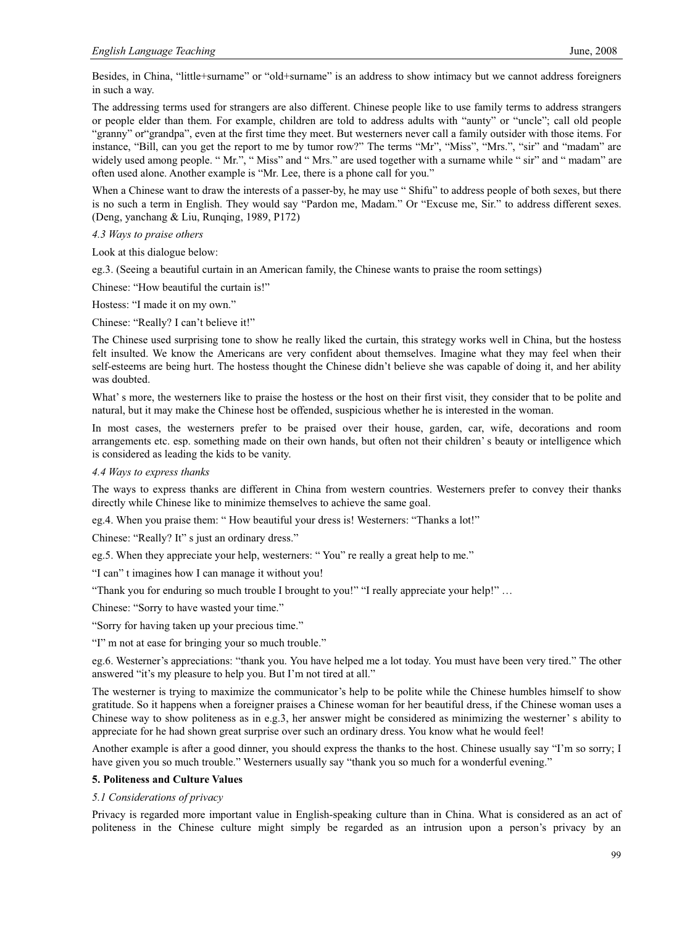Besides, in China, "little+surname" or "old+surname" is an address to show intimacy but we cannot address foreigners in such a way.

The addressing terms used for strangers are also different. Chinese people like to use family terms to address strangers or people elder than them. For example, children are told to address adults with "aunty" or "uncle"; call old people "granny" or"grandpa", even at the first time they meet. But westerners never call a family outsider with those items. For instance, "Bill, can you get the report to me by tumor row?" The terms "Mr", "Miss", "Mrs.", "sir" and "madam" are widely used among people. " Mr.", " Miss" and " Mrs." are used together with a surname while " sir" and " madam" are often used alone. Another example is "Mr. Lee, there is a phone call for you."

When a Chinese want to draw the interests of a passer-by, he may use "Shifu" to address people of both sexes, but there is no such a term in English. They would say "Pardon me, Madam." Or "Excuse me, Sir." to address different sexes. (Deng, yanchang & Liu, Runqing, 1989, P172)

#### *4.3 Ways to praise others*

Look at this dialogue below:

eg.3. (Seeing a beautiful curtain in an American family, the Chinese wants to praise the room settings)

Chinese: "How beautiful the curtain is!"

Hostess: "I made it on my own."

Chinese: "Really? I can't believe it!"

The Chinese used surprising tone to show he really liked the curtain, this strategy works well in China, but the hostess felt insulted. We know the Americans are very confident about themselves. Imagine what they may feel when their self-esteems are being hurt. The hostess thought the Chinese didn't believe she was capable of doing it, and her ability was doubted.

What' s more, the westerners like to praise the hostess or the host on their first visit, they consider that to be polite and natural, but it may make the Chinese host be offended, suspicious whether he is interested in the woman.

In most cases, the westerners prefer to be praised over their house, garden, car, wife, decorations and room arrangements etc. esp. something made on their own hands, but often not their children' s beauty or intelligence which is considered as leading the kids to be vanity.

## *4.4 Ways to express thanks*

The ways to express thanks are different in China from western countries. Westerners prefer to convey their thanks directly while Chinese like to minimize themselves to achieve the same goal.

eg.4. When you praise them: " How beautiful your dress is! Westerners: "Thanks a lot!"

Chinese: "Really? It" s just an ordinary dress."

eg.5. When they appreciate your help, westerners: " You" re really a great help to me."

"I can" t imagines how I can manage it without you!

"Thank you for enduring so much trouble I brought to you!" "I really appreciate your help!" …

Chinese: "Sorry to have wasted your time."

"Sorry for having taken up your precious time."

"I" m not at ease for bringing your so much trouble."

eg.6. Westerner's appreciations: "thank you. You have helped me a lot today. You must have been very tired." The other answered "it's my pleasure to help you. But I'm not tired at all."

The westerner is trying to maximize the communicator's help to be polite while the Chinese humbles himself to show gratitude. So it happens when a foreigner praises a Chinese woman for her beautiful dress, if the Chinese woman uses a Chinese way to show politeness as in e.g.3, her answer might be considered as minimizing the westerner' s ability to appreciate for he had shown great surprise over such an ordinary dress. You know what he would feel!

Another example is after a good dinner, you should express the thanks to the host. Chinese usually say "I'm so sorry; I have given you so much trouble." Westerners usually say "thank you so much for a wonderful evening."

#### **5. Politeness and Culture Values**

## *5.1 Considerations of privacy*

Privacy is regarded more important value in English-speaking culture than in China. What is considered as an act of politeness in the Chinese culture might simply be regarded as an intrusion upon a person's privacy by an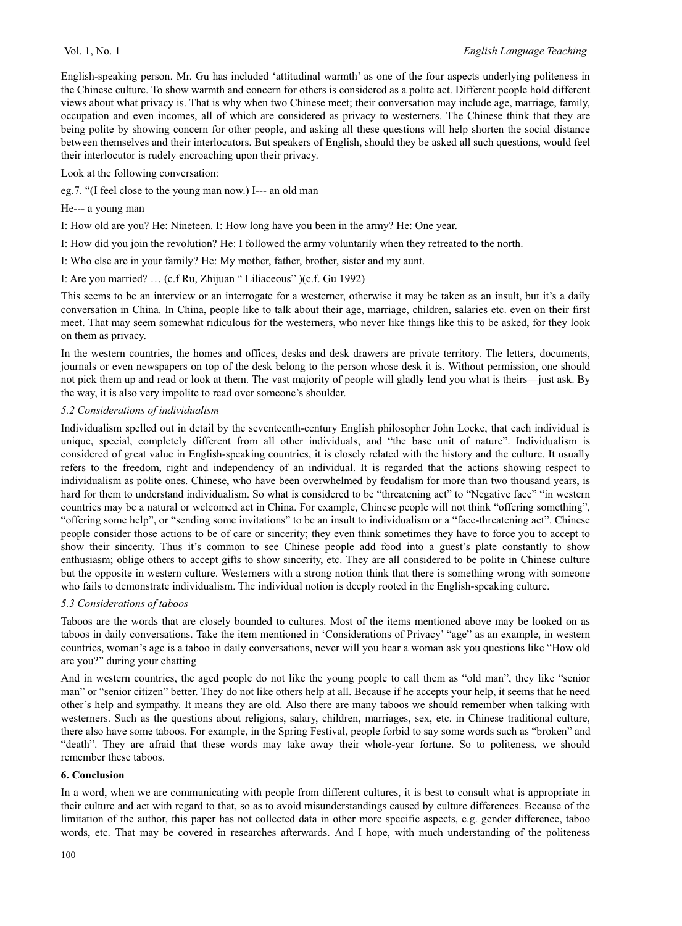English-speaking person. Mr. Gu has included 'attitudinal warmth' as one of the four aspects underlying politeness in the Chinese culture. To show warmth and concern for others is considered as a polite act. Different people hold different views about what privacy is. That is why when two Chinese meet; their conversation may include age, marriage, family, occupation and even incomes, all of which are considered as privacy to westerners. The Chinese think that they are being polite by showing concern for other people, and asking all these questions will help shorten the social distance between themselves and their interlocutors. But speakers of English, should they be asked all such questions, would feel their interlocutor is rudely encroaching upon their privacy.

Look at the following conversation:

eg.7. "(I feel close to the young man now.) I--- an old man

He--- a young man

I: How old are you? He: Nineteen. I: How long have you been in the army? He: One year.

- I: How did you join the revolution? He: I followed the army voluntarily when they retreated to the north.
- I: Who else are in your family? He: My mother, father, brother, sister and my aunt.
- I: Are you married? … (c.f Ru, Zhijuan " Liliaceous" )(c.f. Gu 1992)

This seems to be an interview or an interrogate for a westerner, otherwise it may be taken as an insult, but it's a daily conversation in China. In China, people like to talk about their age, marriage, children, salaries etc. even on their first meet. That may seem somewhat ridiculous for the westerners, who never like things like this to be asked, for they look on them as privacy.

In the western countries, the homes and offices, desks and desk drawers are private territory. The letters, documents, journals or even newspapers on top of the desk belong to the person whose desk it is. Without permission, one should not pick them up and read or look at them. The vast majority of people will gladly lend you what is theirs—just ask. By the way, it is also very impolite to read over someone's shoulder.

## *5.2 Considerations of individualism*

Individualism spelled out in detail by the seventeenth-century English philosopher John Locke, that each individual is unique, special, completely different from all other individuals, and "the base unit of nature". Individualism is considered of great value in English-speaking countries, it is closely related with the history and the culture. It usually refers to the freedom, right and independency of an individual. It is regarded that the actions showing respect to individualism as polite ones. Chinese, who have been overwhelmed by feudalism for more than two thousand years, is hard for them to understand individualism. So what is considered to be "threatening act" to "Negative face" "in western countries may be a natural or welcomed act in China. For example, Chinese people will not think "offering something", "offering some help", or "sending some invitations" to be an insult to individualism or a "face-threatening act". Chinese people consider those actions to be of care or sincerity; they even think sometimes they have to force you to accept to show their sincerity. Thus it's common to see Chinese people add food into a guest's plate constantly to show enthusiasm; oblige others to accept gifts to show sincerity, etc. They are all considered to be polite in Chinese culture but the opposite in western culture. Westerners with a strong notion think that there is something wrong with someone who fails to demonstrate individualism. The individual notion is deeply rooted in the English-speaking culture.

## *5.3 Considerations of taboos*

Taboos are the words that are closely bounded to cultures. Most of the items mentioned above may be looked on as taboos in daily conversations. Take the item mentioned in 'Considerations of Privacy' "age" as an example, in western countries, woman's age is a taboo in daily conversations, never will you hear a woman ask you questions like "How old are you?" during your chatting

And in western countries, the aged people do not like the young people to call them as "old man", they like "senior man" or "senior citizen" better. They do not like others help at all. Because if he accepts your help, it seems that he need other's help and sympathy. It means they are old. Also there are many taboos we should remember when talking with westerners. Such as the questions about religions, salary, children, marriages, sex, etc. in Chinese traditional culture, there also have some taboos. For example, in the Spring Festival, people forbid to say some words such as "broken" and "death". They are afraid that these words may take away their whole-year fortune. So to politeness, we should remember these taboos.

## **6. Conclusion**

In a word, when we are communicating with people from different cultures, it is best to consult what is appropriate in their culture and act with regard to that, so as to avoid misunderstandings caused by culture differences. Because of the limitation of the author, this paper has not collected data in other more specific aspects, e.g. gender difference, taboo words, etc. That may be covered in researches afterwards. And I hope, with much understanding of the politeness